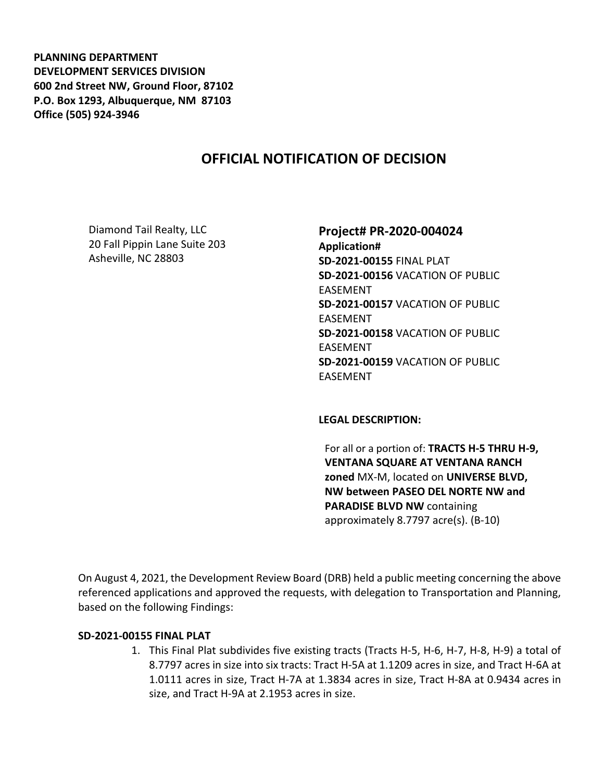**PLANNING DEPARTMENT DEVELOPMENT SERVICES DIVISION 600 2nd Street NW, Ground Floor, 87102 P.O. Box 1293, Albuquerque, NM 87103 Office (505) 924-3946** 

# **OFFICIAL NOTIFICATION OF DECISION**

Diamond Tail Realty, LLC 20 Fall Pippin Lane Suite 203 Asheville, NC 28803

#### **Project# PR-2020-004024**

**Application# SD-2021-00155** FINAL PLAT **SD-2021-00156** VACATION OF PUBLIC EASEMENT **SD-2021-00157** VACATION OF PUBLIC EASEMENT **SD-2021-00158** VACATION OF PUBLIC EASEMENT **SD-2021-00159** VACATION OF PUBLIC EASEMENT

**LEGAL DESCRIPTION:**

For all or a portion of: **TRACTS H-5 THRU H-9, VENTANA SQUARE AT VENTANA RANCH zoned** MX-M, located on **UNIVERSE BLVD, NW between PASEO DEL NORTE NW and PARADISE BLVD NW** containing approximately 8.7797 acre(s). (B-10)

On August 4, 2021, the Development Review Board (DRB) held a public meeting concerning the above referenced applications and approved the requests, with delegation to Transportation and Planning, based on the following Findings:

#### **SD-2021-00155 FINAL PLAT**

1. This Final Plat subdivides five existing tracts (Tracts H-5, H-6, H-7, H-8, H-9) a total of 8.7797 acres in size into six tracts: Tract H-5A at 1.1209 acres in size, and Tract H-6A at 1.0111 acres in size, Tract H-7A at 1.3834 acres in size, Tract H-8A at 0.9434 acres in size, and Tract H-9A at 2.1953 acres in size.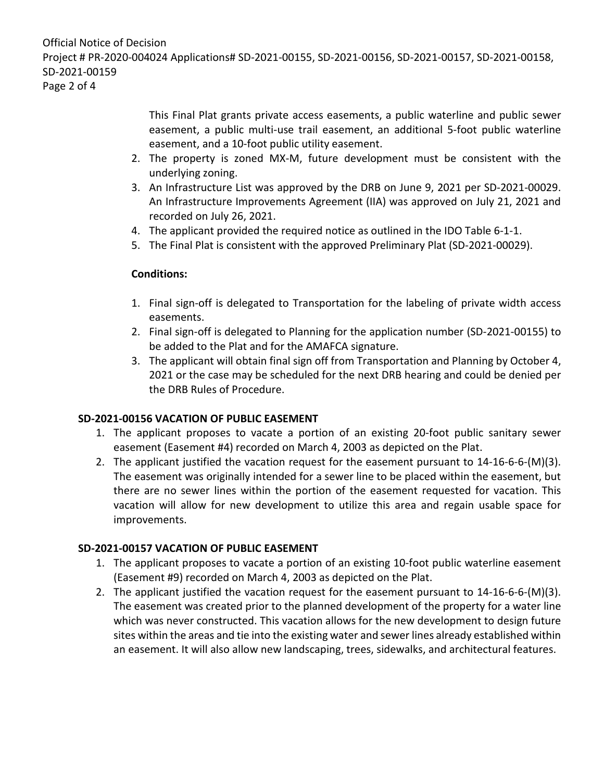This Final Plat grants private access easements, a public waterline and public sewer easement, a public multi-use trail easement, an additional 5-foot public waterline easement, and a 10-foot public utility easement.

- 2. The property is zoned MX-M, future development must be consistent with the underlying zoning.
- 3. An Infrastructure List was approved by the DRB on June 9, 2021 per SD-2021-00029. An Infrastructure Improvements Agreement (IIA) was approved on July 21, 2021 and recorded on July 26, 2021.
- 4. The applicant provided the required notice as outlined in the IDO Table 6-1-1.
- 5. The Final Plat is consistent with the approved Preliminary Plat (SD-2021-00029).

# **Conditions:**

- 1. Final sign-off is delegated to Transportation for the labeling of private width access easements.
- 2. Final sign-off is delegated to Planning for the application number (SD-2021-00155) to be added to the Plat and for the AMAFCA signature.
- 3. The applicant will obtain final sign off from Transportation and Planning by October 4, 2021 or the case may be scheduled for the next DRB hearing and could be denied per the DRB Rules of Procedure.

# **SD-2021-00156 VACATION OF PUBLIC EASEMENT**

- 1. The applicant proposes to vacate a portion of an existing 20-foot public sanitary sewer easement (Easement #4) recorded on March 4, 2003 as depicted on the Plat.
- 2. The applicant justified the vacation request for the easement pursuant to 14-16-6-6-(M)(3). The easement was originally intended for a sewer line to be placed within the easement, but there are no sewer lines within the portion of the easement requested for vacation. This vacation will allow for new development to utilize this area and regain usable space for improvements.

# **SD-2021-00157 VACATION OF PUBLIC EASEMENT**

- 1. The applicant proposes to vacate a portion of an existing 10-foot public waterline easement (Easement #9) recorded on March 4, 2003 as depicted on the Plat.
- 2. The applicant justified the vacation request for the easement pursuant to 14-16-6-6-(M)(3). The easement was created prior to the planned development of the property for a water line which was never constructed. This vacation allows for the new development to design future sites within the areas and tie into the existing water and sewer lines already established within an easement. It will also allow new landscaping, trees, sidewalks, and architectural features.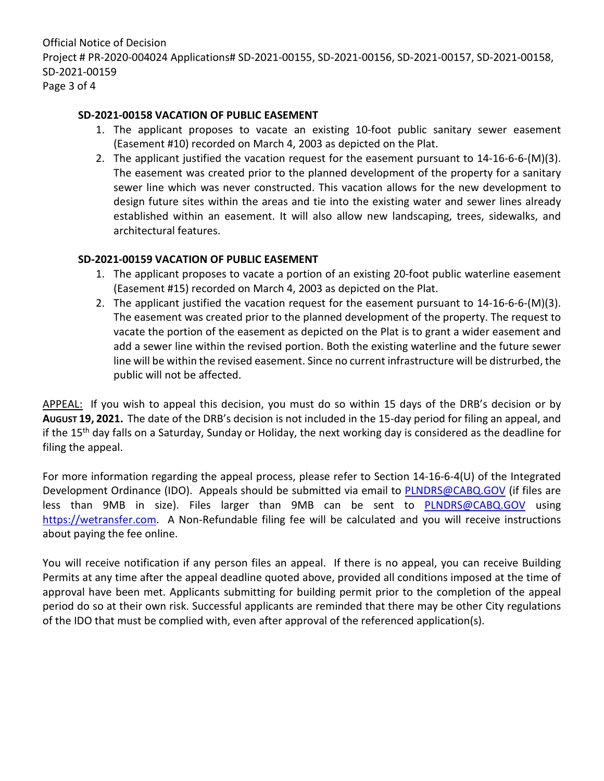Official Notice of Decision Project # PR-2020-004024 Applications# SD-2021-00155, SD-2021-00156, SD-2021-00157, SD-2021-00158, SD-2021-00159 Page 3 of 4

#### **SD-2021-00158 VACATION OF PUBLIC EASEMENT**

- 1. The applicant proposes to vacate an existing 10-foot public sanitary sewer easement (Easement #10) recorded on March 4, 2003 as depicted on the Plat.
- 2. The applicant justified the vacation request for the easement pursuant to 14-16-6-6-(M)(3). The easement was created prior to the planned development of the property for a sanitary sewer line which was never constructed. This vacation allows for the new development to design future sites within the areas and tie into the existing water and sewer lines already established within an easement. It will also allow new landscaping, trees, sidewalks, and architectural features.

### **SD-2021-00159 VACATION OF PUBLIC EASEMENT**

- 1. The applicant proposes to vacate a portion of an existing 20-foot public waterline easement (Easement #15) recorded on March 4, 2003 as depicted on the Plat.
- 2. The applicant justified the vacation request for the easement pursuant to 14-16-6-6-(M)(3). The easement was created prior to the planned development of the property. The request to vacate the portion of the easement as depicted on the Plat is to grant a wider easement and add a sewer line within the revised portion. Both the existing waterline and the future sewer line will be within the revised easement. Since no current infrastructure will be distrurbed, the public will not be affected.

APPEAL: If you wish to appeal this decision, you must do so within 15 days of the DRB's decision or by **AUGUST 19, 2021.** The date of the DRB's decision is not included in the 15-day period for filing an appeal, and if the 15<sup>th</sup> day falls on a Saturday, Sunday or Holiday, the next working day is considered as the deadline for filing the appeal.

For more information regarding the appeal process, please refer to Section 14-16-6-4(U) of the Integrated Development Ordinance (IDO). Appeals should be submitted via email to [PLNDRS@CABQ.GOV](mailto:PLNDRS@CABQ.GOV) (if files are less than 9MB in size). Files larger than 9MB can be sent to **[PLNDRS@CABQ.GOV](mailto:PLNDRS@CABQ.GOV)** using [https://wetransfer.com.](https://wetransfer.com/) A Non-Refundable filing fee will be calculated and you will receive instructions about paying the fee online.

You will receive notification if any person files an appeal. If there is no appeal, you can receive Building Permits at any time after the appeal deadline quoted above, provided all conditions imposed at the time of approval have been met. Applicants submitting for building permit prior to the completion of the appeal period do so at their own risk. Successful applicants are reminded that there may be other City regulations of the IDO that must be complied with, even after approval of the referenced application(s).